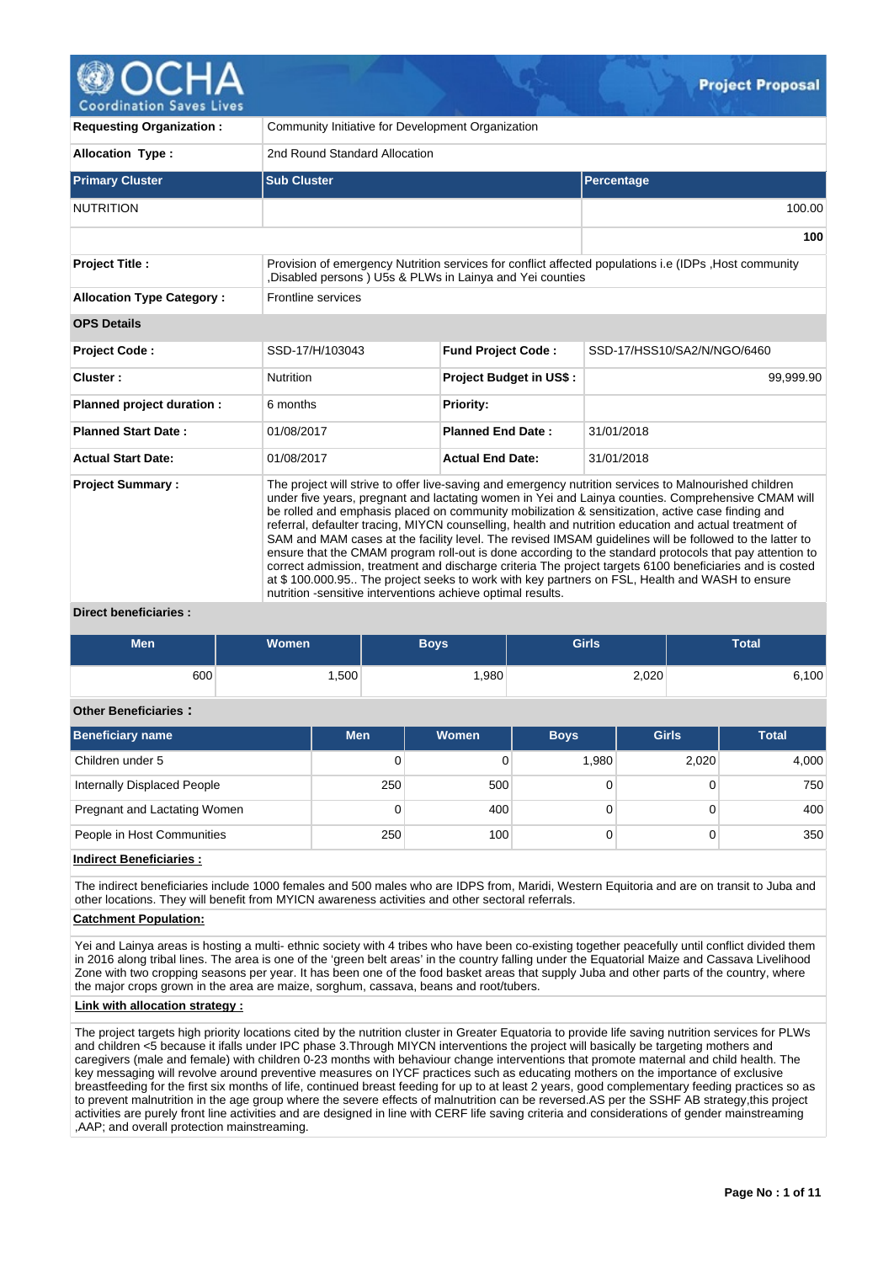

| <b>Requesting Organization:</b>  | Community Initiative for Development Organization                                                                                                                                                                                                                                                                                                                                                                                                                                                                                                                                                                                                                                                                                                                                                                                                                                                                             |                                |                             |  |  |  |  |  |  |
|----------------------------------|-------------------------------------------------------------------------------------------------------------------------------------------------------------------------------------------------------------------------------------------------------------------------------------------------------------------------------------------------------------------------------------------------------------------------------------------------------------------------------------------------------------------------------------------------------------------------------------------------------------------------------------------------------------------------------------------------------------------------------------------------------------------------------------------------------------------------------------------------------------------------------------------------------------------------------|--------------------------------|-----------------------------|--|--|--|--|--|--|
| <b>Allocation Type:</b>          | 2nd Round Standard Allocation                                                                                                                                                                                                                                                                                                                                                                                                                                                                                                                                                                                                                                                                                                                                                                                                                                                                                                 |                                |                             |  |  |  |  |  |  |
| <b>Primary Cluster</b>           | <b>Sub Cluster</b>                                                                                                                                                                                                                                                                                                                                                                                                                                                                                                                                                                                                                                                                                                                                                                                                                                                                                                            |                                | Percentage                  |  |  |  |  |  |  |
| <b>NUTRITION</b>                 |                                                                                                                                                                                                                                                                                                                                                                                                                                                                                                                                                                                                                                                                                                                                                                                                                                                                                                                               |                                | 100.00                      |  |  |  |  |  |  |
|                                  |                                                                                                                                                                                                                                                                                                                                                                                                                                                                                                                                                                                                                                                                                                                                                                                                                                                                                                                               |                                | 100                         |  |  |  |  |  |  |
| <b>Project Title:</b>            | Provision of emergency Nutrition services for conflict affected populations i.e (IDPs , Host community<br>Disabled persons ) U5s & PLWs in Lainya and Yei counties                                                                                                                                                                                                                                                                                                                                                                                                                                                                                                                                                                                                                                                                                                                                                            |                                |                             |  |  |  |  |  |  |
| <b>Allocation Type Category:</b> | Frontline services                                                                                                                                                                                                                                                                                                                                                                                                                                                                                                                                                                                                                                                                                                                                                                                                                                                                                                            |                                |                             |  |  |  |  |  |  |
| <b>OPS Details</b>               |                                                                                                                                                                                                                                                                                                                                                                                                                                                                                                                                                                                                                                                                                                                                                                                                                                                                                                                               |                                |                             |  |  |  |  |  |  |
| <b>Project Code:</b>             | SSD-17/H/103043                                                                                                                                                                                                                                                                                                                                                                                                                                                                                                                                                                                                                                                                                                                                                                                                                                                                                                               | <b>Fund Project Code:</b>      | SSD-17/HSS10/SA2/N/NGO/6460 |  |  |  |  |  |  |
| Cluster:                         | <b>Nutrition</b>                                                                                                                                                                                                                                                                                                                                                                                                                                                                                                                                                                                                                                                                                                                                                                                                                                                                                                              | <b>Project Budget in US\$:</b> | 99,999.90                   |  |  |  |  |  |  |
| Planned project duration :       | 6 months                                                                                                                                                                                                                                                                                                                                                                                                                                                                                                                                                                                                                                                                                                                                                                                                                                                                                                                      | Priority:                      |                             |  |  |  |  |  |  |
| <b>Planned Start Date:</b>       | 01/08/2017                                                                                                                                                                                                                                                                                                                                                                                                                                                                                                                                                                                                                                                                                                                                                                                                                                                                                                                    | <b>Planned End Date:</b>       | 31/01/2018                  |  |  |  |  |  |  |
| <b>Actual Start Date:</b>        | 01/08/2017                                                                                                                                                                                                                                                                                                                                                                                                                                                                                                                                                                                                                                                                                                                                                                                                                                                                                                                    | <b>Actual End Date:</b>        | 31/01/2018                  |  |  |  |  |  |  |
| <b>Project Summary:</b>          | The project will strive to offer live-saving and emergency nutrition services to Malnourished children<br>under five years, pregnant and lactating women in Yei and Lainya counties. Comprehensive CMAM will<br>be rolled and emphasis placed on community mobilization & sensitization, active case finding and<br>referral, defaulter tracing, MIYCN counselling, health and nutrition education and actual treatment of<br>SAM and MAM cases at the facility level. The revised IMSAM guidelines will be followed to the latter to<br>ensure that the CMAM program roll-out is done according to the standard protocols that pay attention to<br>correct admission, treatment and discharge criteria The project targets 6100 beneficiaries and is costed<br>at \$100.000.95. The project seeks to work with key partners on FSL, Health and WASH to ensure<br>nutrition -sensitive interventions achieve optimal results. |                                |                             |  |  |  |  |  |  |

#### **Direct beneficiaries :**

| Men | <b>Women</b> | Boys | Girls | <b>Total</b> |
|-----|--------------|------|-------|--------------|
| 600 | ,500         | ,980 | 2,020 | 100          |

### **Other Beneficiaries :**

| Beneficiary name             | <b>Men</b> | Women | <b>Boys</b> | <b>Girls</b> | <b>Total</b> |
|------------------------------|------------|-------|-------------|--------------|--------------|
| Children under 5             | 0          |       | 1,980       | 2,020        | 4,000        |
| Internally Displaced People  | 250        | 500   |             |              | 750          |
| Pregnant and Lactating Women | 0          | 400   |             |              | 400          |
| People in Host Communities   | 250        | 100   |             |              | 350          |

**Indirect Beneficiaries :**

The indirect beneficiaries include 1000 females and 500 males who are IDPS from, Maridi, Western Equitoria and are on transit to Juba and other locations. They will benefit from MYICN awareness activities and other sectoral referrals.

# **Catchment Population:**

Yei and Lainya areas is hosting a multi- ethnic society with 4 tribes who have been co-existing together peacefully until conflict divided them in 2016 along tribal lines. The area is one of the 'green belt areas' in the country falling under the Equatorial Maize and Cassava Livelihood Zone with two cropping seasons per year. It has been one of the food basket areas that supply Juba and other parts of the country, where the major crops grown in the area are maize, sorghum, cassava, beans and root/tubers.

### **Link with allocation strategy :**

The project targets high priority locations cited by the nutrition cluster in Greater Equatoria to provide life saving nutrition services for PLWs and children <5 because it ifalls under IPC phase 3.Through MIYCN interventions the project will basically be targeting mothers and caregivers (male and female) with children 0-23 months with behaviour change interventions that promote maternal and child health. The key messaging will revolve around preventive measures on IYCF practices such as educating mothers on the importance of exclusive breastfeeding for the first six months of life, continued breast feeding for up to at least 2 years, good complementary feeding practices so as to prevent malnutrition in the age group where the severe effects of malnutrition can be reversed.AS per the SSHF AB strategy, this project activities are purely front line activities and are designed in line with CERF life saving criteria and considerations of gender mainstreaming ,AAP; and overall protection mainstreaming.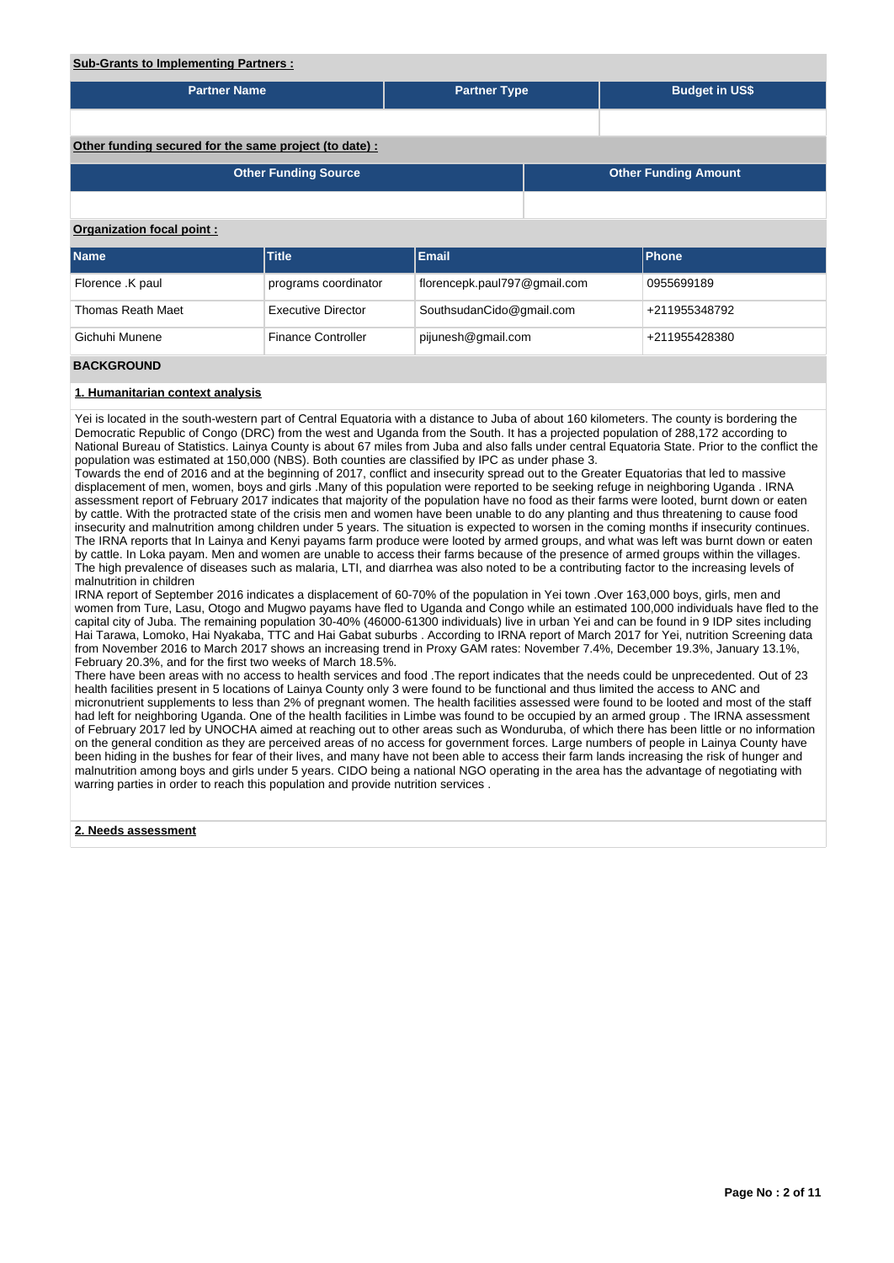# **Sub-Grants to Implementing Partners :**

| <u>cap cranto to impromotiting raithforce in</u>       |                             |                              |  |                             |  |  |  |  |  |
|--------------------------------------------------------|-----------------------------|------------------------------|--|-----------------------------|--|--|--|--|--|
| <b>Partner Name</b>                                    |                             | <b>Partner Type</b>          |  | <b>Budget in US\$</b>       |  |  |  |  |  |
|                                                        |                             |                              |  |                             |  |  |  |  |  |
| Other funding secured for the same project (to date) : |                             |                              |  |                             |  |  |  |  |  |
|                                                        | <b>Other Funding Source</b> |                              |  | <b>Other Funding Amount</b> |  |  |  |  |  |
|                                                        |                             |                              |  |                             |  |  |  |  |  |
| Organization focal point:                              |                             |                              |  |                             |  |  |  |  |  |
| <b>Name</b>                                            | <b>Title</b>                | <b>Email</b>                 |  | Phone                       |  |  |  |  |  |
| Florence .K paul                                       | programs coordinator        | florencepk.paul797@gmail.com |  | 0955699189                  |  |  |  |  |  |
| <b>Thomas Reath Maet</b>                               | <b>Executive Director</b>   | SouthsudanCido@gmail.com     |  | +211955348792               |  |  |  |  |  |
| Gichuhi Munene                                         | <b>Finance Controller</b>   | pijunesh@gmail.com           |  | +211955428380               |  |  |  |  |  |
| <b>BACKGROUND</b>                                      |                             |                              |  |                             |  |  |  |  |  |

#### **1. Humanitarian context analysis**

Yei is located in the south-western part of Central Equatoria with a distance to Juba of about 160 kilometers. The county is bordering the Democratic Republic of Congo (DRC) from the west and Uganda from the South. It has a projected population of 288,172 according to National Bureau of Statistics. Lainya County is about 67 miles from Juba and also falls under central Equatoria State. Prior to the conflict the population was estimated at 150,000 (NBS). Both counties are classified by IPC as under phase 3.

Towards the end of 2016 and at the beginning of 2017, conflict and insecurity spread out to the Greater Equatorias that led to massive displacement of men, women, boys and girls .Many of this population were reported to be seeking refuge in neighboring Uganda . IRNA assessment report of February 2017 indicates that majority of the population have no food as their farms were looted, burnt down or eaten by cattle. With the protracted state of the crisis men and women have been unable to do any planting and thus threatening to cause food insecurity and malnutrition among children under 5 years. The situation is expected to worsen in the coming months if insecurity continues. The IRNA reports that In Lainya and Kenyi payams farm produce were looted by armed groups, and what was left was burnt down or eaten by cattle. In Loka payam. Men and women are unable to access their farms because of the presence of armed groups within the villages. The high prevalence of diseases such as malaria, LTI, and diarrhea was also noted to be a contributing factor to the increasing levels of malnutrition in children

IRNA report of September 2016 indicates a displacement of 60-70% of the population in Yei town .Over 163,000 boys, girls, men and women from Ture, Lasu, Otogo and Mugwo payams have fled to Uganda and Congo while an estimated 100,000 individuals have fled to the capital city of Juba. The remaining population 30-40% (46000-61300 individuals) live in urban Yei and can be found in 9 IDP sites including Hai Tarawa, Lomoko, Hai Nyakaba, TTC and Hai Gabat suburbs . According to IRNA report of March 2017 for Yei, nutrition Screening data from November 2016 to March 2017 shows an increasing trend in Proxy GAM rates: November 7.4%, December 19.3%, January 13.1%, February 20.3%, and for the first two weeks of March 18.5%.

There have been areas with no access to health services and food .The report indicates that the needs could be unprecedented. Out of 23 health facilities present in 5 locations of Lainya County only 3 were found to be functional and thus limited the access to ANC and micronutrient supplements to less than 2% of pregnant women. The health facilities assessed were found to be looted and most of the staff had left for neighboring Uganda. One of the health facilities in Limbe was found to be occupied by an armed group. The IRNA assessment of February 2017 led by UNOCHA aimed at reaching out to other areas such as Wonduruba, of which there has been little or no information on the general condition as they are perceived areas of no access for government forces. Large numbers of people in Lainya County have been hiding in the bushes for fear of their lives, and many have not been able to access their farm lands increasing the risk of hunger and malnutrition among boys and girls under 5 years. CIDO being a national NGO operating in the area has the advantage of negotiating with warring parties in order to reach this population and provide nutrition services.

### **2. Needs assessment**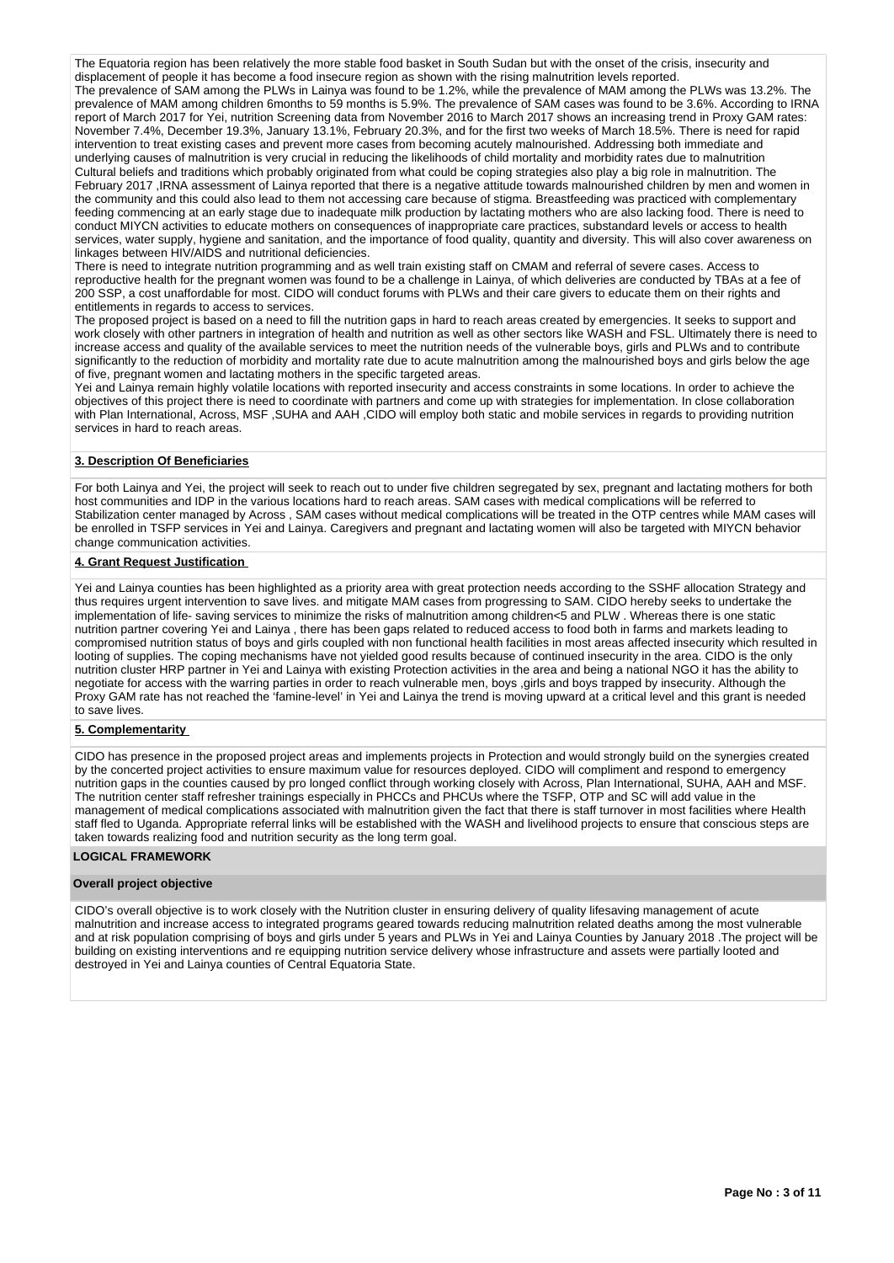The Equatoria region has been relatively the more stable food basket in South Sudan but with the onset of the crisis, insecurity and displacement of people it has become a food insecure region as shown with the rising malnutrition levels reported. The prevalence of SAM among the PLWs in Lainya was found to be 1.2%, while the prevalence of MAM among the PLWs was 13.2%. The prevalence of MAM among children 6months to 59 months is 5.9%. The prevalence of SAM cases was found to be 3.6%. According to IRNA report of March 2017 for Yei, nutrition Screening data from November 2016 to March 2017 shows an increasing trend in Proxy GAM rates: November 7.4%, December 19.3%, January 13.1%, February 20.3%, and for the first two weeks of March 18.5%. There is need for rapid intervention to treat existing cases and prevent more cases from becoming acutely malnourished. Addressing both immediate and underlying causes of malnutrition is very crucial in reducing the likelihoods of child mortality and morbidity rates due to malnutrition Cultural beliefs and traditions which probably originated from what could be coping strategies also play a big role in malnutrition. The February 2017 ,IRNA assessment of Lainya reported that there is a negative attitude towards malnourished children by men and women in the community and this could also lead to them not accessing care because of stigma. Breastfeeding was practiced with complementary feeding commencing at an early stage due to inadequate milk production by lactating mothers who are also lacking food. There is need to conduct MIYCN activities to educate mothers on consequences of inappropriate care practices, substandard levels or access to health services, water supply, hygiene and sanitation, and the importance of food quality, quantity and diversity. This will also cover awareness on linkages between HIV/AIDS and nutritional deficiencies.

There is need to integrate nutrition programming and as well train existing staff on CMAM and referral of severe cases. Access to reproductive health for the pregnant women was found to be a challenge in Lainya, of which deliveries are conducted by TBAs at a fee of 200 SSP, a cost unaffordable for most. CIDO will conduct forums with PLWs and their care givers to educate them on their rights and entitlements in regards to access to services.

The proposed project is based on a need to fill the nutrition gaps in hard to reach areas created by emergencies. It seeks to support and work closely with other partners in integration of health and nutrition as well as other sectors like WASH and FSL. Ultimately there is need to increase access and quality of the available services to meet the nutrition needs of the vulnerable boys, girls and PLWs and to contribute significantly to the reduction of morbidity and mortality rate due to acute malnutrition among the malnourished boys and girls below the age of five, pregnant women and lactating mothers in the specific targeted areas.

Yei and Lainya remain highly volatile locations with reported insecurity and access constraints in some locations. In order to achieve the objectives of this project there is need to coordinate with partners and come up with strategies for implementation. In close collaboration with Plan International, Across, MSF ,SUHA and AAH ,CIDO will employ both static and mobile services in regards to providing nutrition services in hard to reach areas.

### **3. Description Of Beneficiaries**

For both Lainya and Yei, the project will seek to reach out to under five children segregated by sex, pregnant and lactating mothers for both host communities and IDP in the various locations hard to reach areas. SAM cases with medical complications will be referred to Stabilization center managed by Across , SAM cases without medical complications will be treated in the OTP centres while MAM cases will be enrolled in TSFP services in Yei and Lainya. Caregivers and pregnant and lactating women will also be targeted with MIYCN behavior change communication activities.

### **4. Grant Request Justification**

Yei and Lainya counties has been highlighted as a priority area with great protection needs according to the SSHF allocation Strategy and thus requires urgent intervention to save lives. and mitigate MAM cases from progressing to SAM. CIDO hereby seeks to undertake the implementation of life- saving services to minimize the risks of malnutrition among children<5 and PLW . Whereas there is one static nutrition partner covering Yei and Lainya , there has been gaps related to reduced access to food both in farms and markets leading to compromised nutrition status of boys and girls coupled with non functional health facilities in most areas affected insecurity which resulted in looting of supplies. The coping mechanisms have not yielded good results because of continued insecurity in the area. CIDO is the only nutrition cluster HRP partner in Yei and Lainya with existing Protection activities in the area and being a national NGO it has the ability to negotiate for access with the warring parties in order to reach vulnerable men, boys ,girls and boys trapped by insecurity. Although the Proxy GAM rate has not reached the 'famine-level' in Yei and Lainya the trend is moving upward at a critical level and this grant is needed to save lives.

## **5. Complementarity**

CIDO has presence in the proposed project areas and implements projects in Protection and would strongly build on the synergies created by the concerted project activities to ensure maximum value for resources deployed. CIDO will compliment and respond to emergency nutrition gaps in the counties caused by pro longed conflict through working closely with Across, Plan International, SUHA, AAH and MSF. The nutrition center staff refresher trainings especially in PHCCs and PHCUs where the TSFP, OTP and SC will add value in the management of medical complications associated with malnutrition given the fact that there is staff turnover in most facilities where Health staff fled to Uganda. Appropriate referral links will be established with the WASH and livelihood projects to ensure that conscious steps are taken towards realizing food and nutrition security as the long term goal.

#### **LOGICAL FRAMEWORK**

#### **Overall project objective**

CIDO's overall objective is to work closely with the Nutrition cluster in ensuring delivery of quality lifesaving management of acute malnutrition and increase access to integrated programs geared towards reducing malnutrition related deaths among the most vulnerable and at risk population comprising of boys and girls under 5 years and PLWs in Yei and Lainya Counties by January 2018 .The project will be building on existing interventions and re equipping nutrition service delivery whose infrastructure and assets were partially looted and destroyed in Yei and Lainya counties of Central Equatoria State.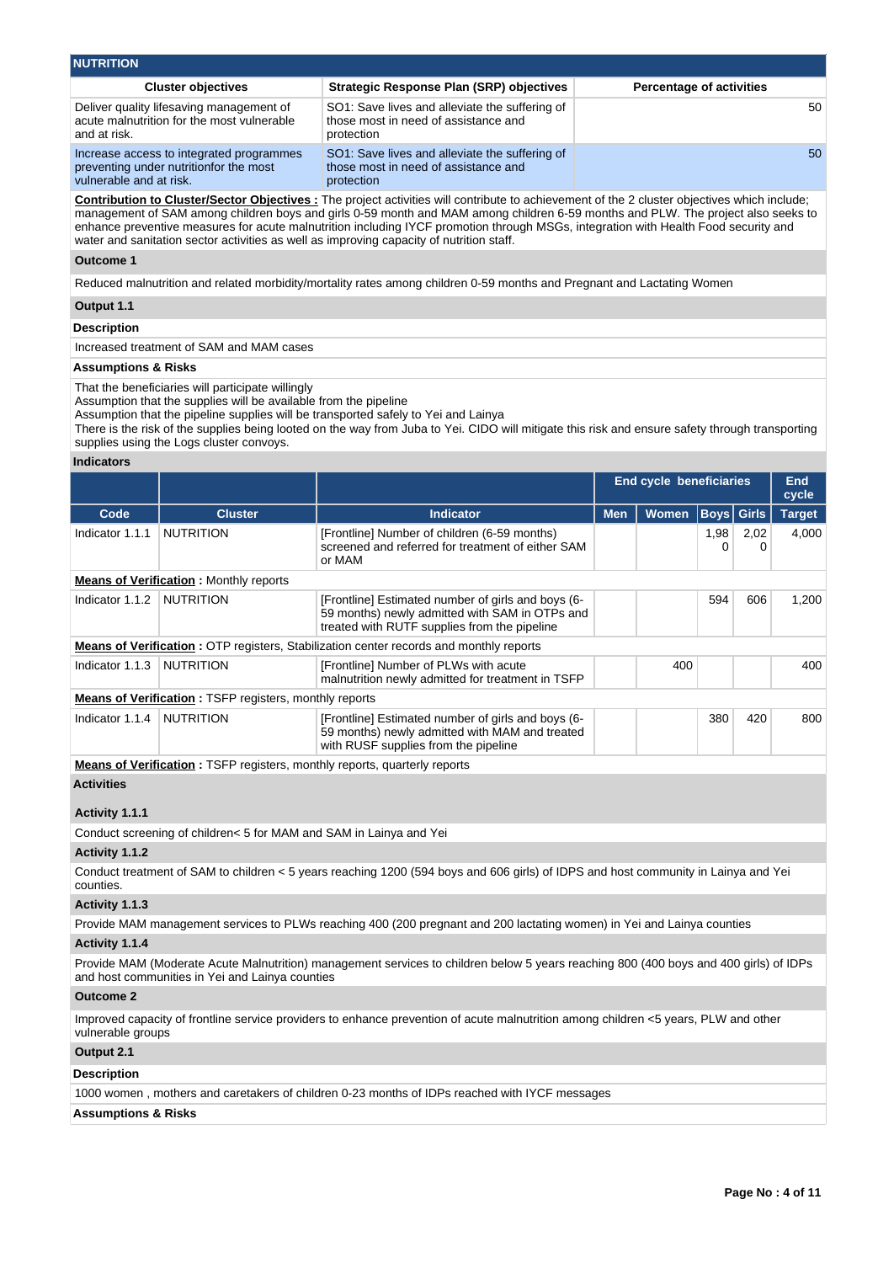| <b>NUTRITION</b>                                                                                              |                                                                                                      |                                 |  |  |  |  |  |  |  |
|---------------------------------------------------------------------------------------------------------------|------------------------------------------------------------------------------------------------------|---------------------------------|--|--|--|--|--|--|--|
| <b>Cluster objectives</b>                                                                                     | Strategic Response Plan (SRP) objectives                                                             | <b>Percentage of activities</b> |  |  |  |  |  |  |  |
| Deliver quality lifesaving management of<br>acute malnutrition for the most vulnerable<br>and at risk.        | SO1: Save lives and alleviate the suffering of<br>those most in need of assistance and<br>protection | 50                              |  |  |  |  |  |  |  |
| Increase access to integrated programmes<br>preventing under nutritionfor the most<br>vulnerable and at risk. | SO1: Save lives and alleviate the suffering of<br>those most in need of assistance and<br>protection | 50                              |  |  |  |  |  |  |  |

**Contribution to Cluster/Sector Objectives :** The project activities will contribute to achievement of the 2 cluster objectives which include; management of SAM among children boys and girls 0-59 month and MAM among children 6-59 months and PLW. The project also seeks to enhance preventive measures for acute malnutrition including IYCF promotion through MSGs, integration with Health Food security and water and sanitation sector activities as well as improving capacity of nutrition staff.

#### **Outcome 1**

Reduced malnutrition and related morbidity/mortality rates among children 0-59 months and Pregnant and Lactating Women

### **Output 1.1**

#### **Description**

Increased treatment of SAM and MAM cases

### **Assumptions & Risks**

That the beneficiaries will participate willingly

Assumption that the supplies will be available from the pipeline

Assumption that the pipeline supplies will be transported safely to Yei and Lainya

There is the risk of the supplies being looted on the way from Juba to Yei. CIDO will mitigate this risk and ensure safety through transporting supplies using the Logs cluster convoys.

#### **Indicators**

|                 |                                                                                  |                                                                                                                                                      |            | <b>End cycle beneficiaries</b> |                   |           | <b>End</b><br>cycle |
|-----------------|----------------------------------------------------------------------------------|------------------------------------------------------------------------------------------------------------------------------------------------------|------------|--------------------------------|-------------------|-----------|---------------------|
| Code            | <b>Cluster</b>                                                                   | <b>Indicator</b>                                                                                                                                     | <b>Men</b> | <b>Women</b>                   | <b>Boys</b> Girls |           | <b>Target</b>       |
| Indicator 1.1.1 | <b>NUTRITION</b>                                                                 | [Frontline] Number of children (6-59 months)<br>screened and referred for treatment of either SAM<br>or MAM                                          |            |                                | 1,98<br>0         | 2,02<br>0 | 4,000               |
|                 | <b>Means of Verification:</b> Monthly reports                                    |                                                                                                                                                      |            |                                |                   |           |                     |
| Indicator 1.1.2 | <b>NUTRITION</b>                                                                 | [Frontline] Estimated number of girls and boys (6-<br>59 months) newly admitted with SAM in OTPs and<br>treated with RUTF supplies from the pipeline |            |                                | 594               | 606       | 1,200               |
|                 |                                                                                  | <b>Means of Verification:</b> OTP registers, Stabilization center records and monthly reports                                                        |            |                                |                   |           |                     |
| Indicator 1.1.3 | <b>NUTRITION</b>                                                                 | [Frontline] Number of PLWs with acute<br>malnutrition newly admitted for treatment in TSFP                                                           |            | 400                            |                   |           | 400                 |
|                 | <b>Means of Verification: TSFP registers, monthly reports</b>                    |                                                                                                                                                      |            |                                |                   |           |                     |
| Indicator 1.1.4 | <b>NUTRITION</b>                                                                 | [Frontline] Estimated number of girls and boys (6-<br>59 months) newly admitted with MAM and treated<br>with RUSF supplies from the pipeline         | 420<br>380 |                                | 800               |           |                     |
|                 | <b>Means of Verification:</b> TSFP registers, monthly reports, quarterly reports |                                                                                                                                                      |            |                                |                   |           |                     |

### **Activities**

### **Activity 1.1.1**

Conduct screening of children< 5 for MAM and SAM in Lainya and Yei

### **Activity 1.1.2**

Conduct treatment of SAM to children < 5 years reaching 1200 (594 boys and 606 girls) of IDPS and host community in Lainya and Yei counties.

### **Activity 1.1.3**

Provide MAM management services to PLWs reaching 400 (200 pregnant and 200 lactating women) in Yei and Lainya counties

# **Activity 1.1.4**

Provide MAM (Moderate Acute Malnutrition) management services to children below 5 years reaching 800 (400 boys and 400 girls) of IDPs and host communities in Yei and Lainya counties

### **Outcome 2**

Improved capacity of frontline service providers to enhance prevention of acute malnutrition among children <5 years, PLW and other vulnerable groups

# **Output 2.1**

# **Description**

1000 women , mothers and caretakers of children 0-23 months of IDPs reached with IYCF messages

# **Assumptions & Risks**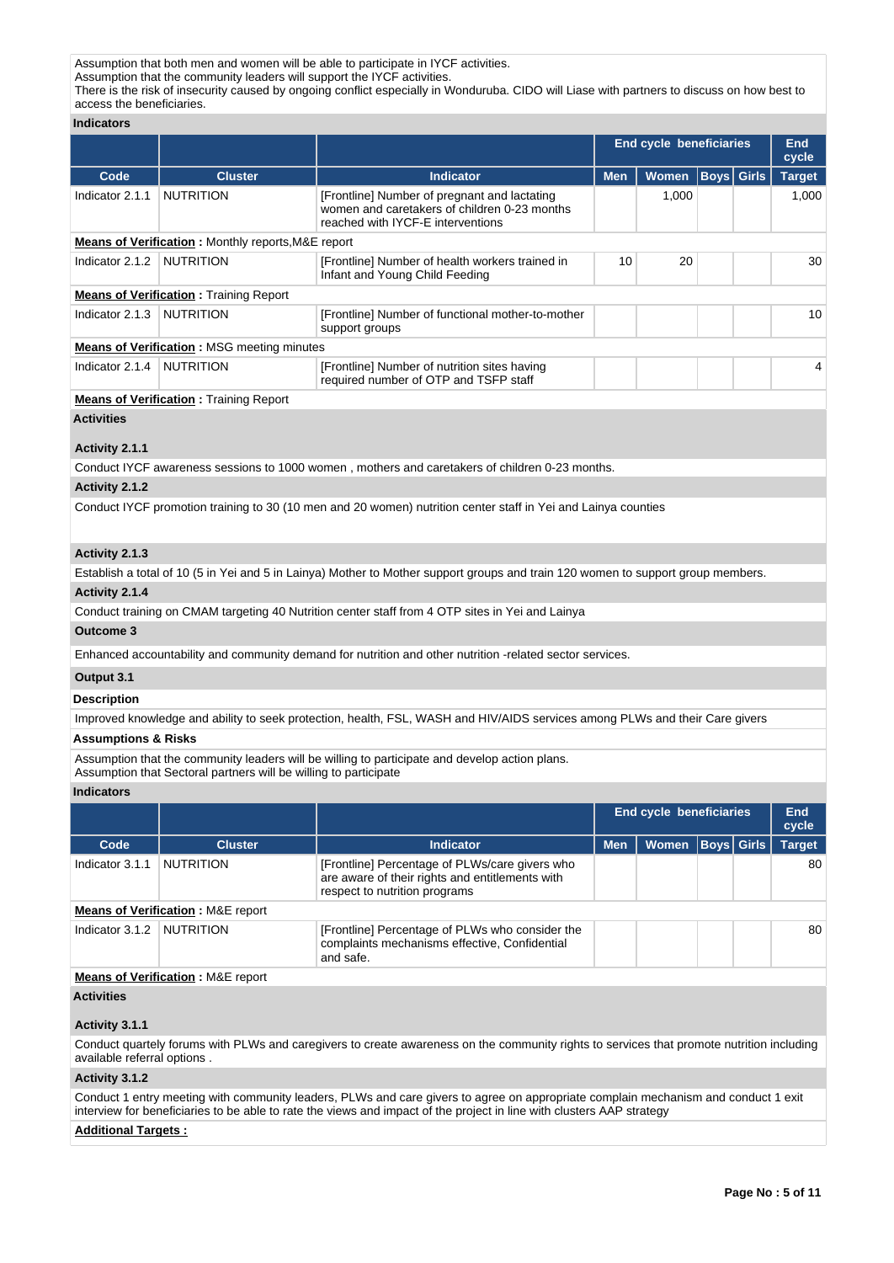Assumption that both men and women will be able to participate in IYCF activities.

Assumption that the community leaders will support the IYCF activities.

There is the risk of insecurity caused by ongoing conflict especially in Wonduruba. CIDO will Liase with partners to discuss on how best to access the beneficiaries.

# **Indicators**

|                   |                                                           |                                                                                                                                   |            | End cycle beneficiaries |                 |       | <b>End</b><br>cycle |
|-------------------|-----------------------------------------------------------|-----------------------------------------------------------------------------------------------------------------------------------|------------|-------------------------|-----------------|-------|---------------------|
| Code              | <b>Cluster</b>                                            | <b>Indicator</b>                                                                                                                  | <b>Men</b> | <b>Women</b>            | $ \text{Boys} $ | Girls | <b>Target</b>       |
| Indicator 2.1.1   | <b>NUTRITION</b>                                          | [Frontline] Number of pregnant and lactating<br>women and caretakers of children 0-23 months<br>reached with IYCF-E interventions |            | 1,000                   |                 |       | 1,000               |
|                   | <b>Means of Verification:</b> Monthly reports, M&E report |                                                                                                                                   |            |                         |                 |       |                     |
| Indicator 2.1.2   | <b>NUTRITION</b>                                          | [Frontline] Number of health workers trained in<br>Infant and Young Child Feeding                                                 | 10         | 20                      |                 |       | 30                  |
|                   | <b>Means of Verification:</b> Training Report             |                                                                                                                                   |            |                         |                 |       |                     |
| Indicator 2.1.3   | <b>NUTRITION</b>                                          | [Frontline] Number of functional mother-to-mother<br>support groups                                                               |            |                         |                 |       | 10                  |
|                   | <b>Means of Verification:</b> MSG meeting minutes         |                                                                                                                                   |            |                         |                 |       |                     |
| Indicator 2.1.4   | <b>NUTRITION</b>                                          | [Frontline] Number of nutrition sites having<br>required number of OTP and TSFP staff                                             |            |                         |                 |       | 4                   |
|                   | <b>Means of Verification: Training Report</b>             |                                                                                                                                   |            |                         |                 |       |                     |
| <b>Activities</b> |                                                           |                                                                                                                                   |            |                         |                 |       |                     |
| Activity 2.1.1    |                                                           |                                                                                                                                   |            |                         |                 |       |                     |
|                   |                                                           | Conduct IYCF awareness sessions to 1000 women, mothers and caretakers of children 0-23 months.                                    |            |                         |                 |       |                     |
| Activity 2.1.2    |                                                           |                                                                                                                                   |            |                         |                 |       |                     |
|                   |                                                           | Conduct IYCF promotion training to 30 (10 men and 20 women) nutrition center staff in Yei and Lainya counties                     |            |                         |                 |       |                     |
| Activity 2.1.3    |                                                           |                                                                                                                                   |            |                         |                 |       |                     |

### **Activity 2.1.3**

Establish a total of 10 (5 in Yei and 5 in Lainya) Mother to Mother support groups and train 120 women to support group members.

# **Activity 2.1.4**

Conduct training on CMAM targeting 40 Nutrition center staff from 4 OTP sites in Yei and Lainya

**Outcome 3**

Enhanced accountability and community demand for nutrition and other nutrition -related sector services.

### **Output 3.1**

**Description**

Improved knowledge and ability to seek protection, health, FSL, WASH and HIV/AIDS services among PLWs and their Care givers

# **Assumptions & Risks**

Assumption that the community leaders will be willing to participate and develop action plans. Assumption that Sectoral partners will be willing to participate

### **Indicators**

|                                                                                                                                                      |                                              |                                                                                                                                    |            | End cycle beneficiaries |  |             | End<br>cycle  |  |  |  |  |
|------------------------------------------------------------------------------------------------------------------------------------------------------|----------------------------------------------|------------------------------------------------------------------------------------------------------------------------------------|------------|-------------------------|--|-------------|---------------|--|--|--|--|
| Code                                                                                                                                                 | <b>Cluster</b>                               | <b>Indicator</b>                                                                                                                   | <b>Men</b> | <b>Women</b>            |  | Boys  Girls | <b>Target</b> |  |  |  |  |
| Indicator 3.1.1                                                                                                                                      | <b>NUTRITION</b>                             | [Frontline] Percentage of PLWs/care givers who<br>are aware of their rights and entitlements with<br>respect to nutrition programs |            |                         |  |             | 80            |  |  |  |  |
|                                                                                                                                                      | <b>Means of Verification: M&amp;E report</b> |                                                                                                                                    |            |                         |  |             |               |  |  |  |  |
| <b>NUTRITION</b><br>Indicator 3.1.2<br>[Frontline] Percentage of PLWs who consider the<br>complaints mechanisms effective, Confidential<br>and safe. |                                              |                                                                                                                                    |            |                         |  | 80          |               |  |  |  |  |
|                                                                                                                                                      | <b>Means of Verification: M&amp;E report</b> |                                                                                                                                    |            |                         |  |             |               |  |  |  |  |

### **Activities**

### **Activity 3.1.1**

Conduct quartely forums with PLWs and caregivers to create awareness on the community rights to services that promote nutrition including available referral options .

### **Activity 3.1.2**

Conduct 1 entry meeting with community leaders, PLWs and care givers to agree on appropriate complain mechanism and conduct 1 exit interview for beneficiaries to be able to rate the views and impact of the project in line with clusters AAP strategy

### **Additional Targets :**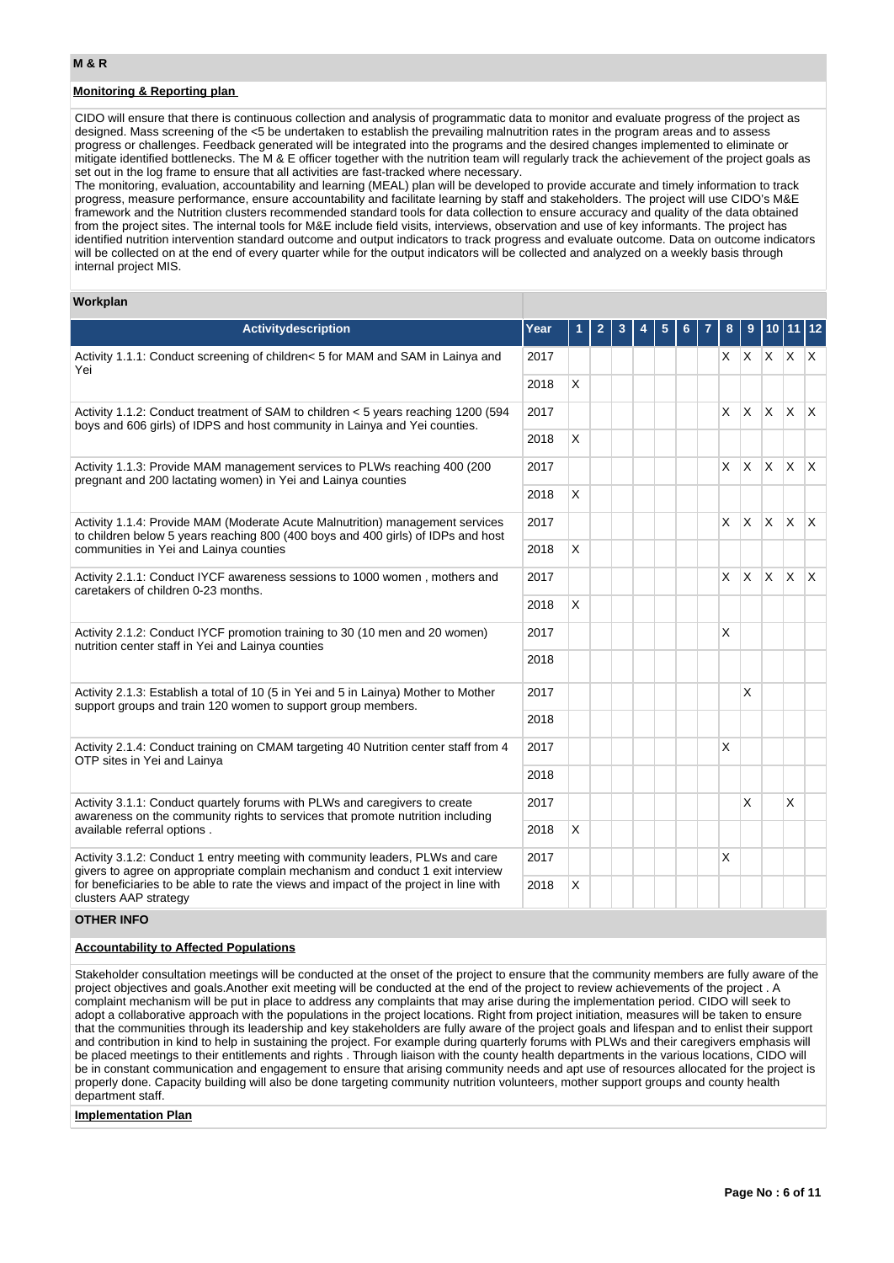### **Monitoring & Reporting plan**

CIDO will ensure that there is continuous collection and analysis of programmatic data to monitor and evaluate progress of the project as designed. Mass screening of the <5 be undertaken to establish the prevailing malnutrition rates in the program areas and to assess progress or challenges. Feedback generated will be integrated into the programs and the desired changes implemented to eliminate or mitigate identified bottlenecks. The M & E officer together with the nutrition team will regularly track the achievement of the project goals as set out in the log frame to ensure that all activities are fast-tracked where necessary.

The monitoring, evaluation, accountability and learning (MEAL) plan will be developed to provide accurate and timely information to track progress, measure performance, ensure accountability and facilitate learning by staff and stakeholders. The project will use CIDO's M&E framework and the Nutrition clusters recommended standard tools for data collection to ensure accuracy and quality of the data obtained from the project sites. The internal tools for M&E include field visits, interviews, observation and use of key informants. The project has identified nutrition intervention standard outcome and output indicators to track progress and evaluate outcome. Data on outcome indicators will be collected on at the end of every quarter while for the output indicators will be collected and analyzed on a weekly basis through internal project MIS.

### **Workplan**

| Activitydescription                                                                                                                                                                                         | Year | 1 | 2 | 3 | 5 | 6 | 8            | 9        | 10 11 12                        |  |
|-------------------------------------------------------------------------------------------------------------------------------------------------------------------------------------------------------------|------|---|---|---|---|---|--------------|----------|---------------------------------|--|
| Activity 1.1.1: Conduct screening of children< 5 for MAM and SAM in Lainya and<br>Yei                                                                                                                       | 2017 |   |   |   |   |   |              |          | $x \mid x \mid x \mid x \mid x$ |  |
|                                                                                                                                                                                                             | 2018 | X |   |   |   |   |              |          |                                 |  |
| Activity 1.1.2: Conduct treatment of SAM to children < 5 years reaching 1200 (594<br>boys and 606 girls) of IDPS and host community in Lainya and Yei counties.                                             | 2017 |   |   |   |   |   | X.           | ΙX.      | $x \times x$                    |  |
|                                                                                                                                                                                                             | 2018 | X |   |   |   |   |              |          |                                 |  |
| Activity 1.1.3: Provide MAM management services to PLWs reaching 400 (200<br>pregnant and 200 lactating women) in Yei and Lainya counties                                                                   | 2017 |   |   |   |   |   |              |          | $x \mid x \mid x \mid x \mid x$ |  |
|                                                                                                                                                                                                             | 2018 | X |   |   |   |   |              |          |                                 |  |
| Activity 1.1.4: Provide MAM (Moderate Acute Malnutrition) management services<br>to children below 5 years reaching 800 (400 boys and 400 girls) of IDPs and host<br>communities in Yei and Lainya counties | 2017 |   |   |   |   |   | X.           | ΙX.      | x x x                           |  |
|                                                                                                                                                                                                             | 2018 | X |   |   |   |   |              |          |                                 |  |
| Activity 2.1.1: Conduct IYCF awareness sessions to 1000 women, mothers and<br>caretakers of children 0-23 months.                                                                                           | 2017 |   |   |   |   |   | $\mathsf{X}$ | <b>X</b> | $X \times X$                    |  |
|                                                                                                                                                                                                             | 2018 | X |   |   |   |   |              |          |                                 |  |
| Activity 2.1.2: Conduct IYCF promotion training to 30 (10 men and 20 women)<br>nutrition center staff in Yei and Lainya counties                                                                            | 2017 |   |   |   |   |   | X            |          |                                 |  |
|                                                                                                                                                                                                             | 2018 |   |   |   |   |   |              |          |                                 |  |
| Activity 2.1.3: Establish a total of 10 (5 in Yei and 5 in Lainya) Mother to Mother<br>support groups and train 120 women to support group members.                                                         | 2017 |   |   |   |   |   |              | X        |                                 |  |
|                                                                                                                                                                                                             | 2018 |   |   |   |   |   |              |          |                                 |  |
| Activity 2.1.4: Conduct training on CMAM targeting 40 Nutrition center staff from 4<br>OTP sites in Yei and Lainya                                                                                          | 2017 |   |   |   |   |   | X            |          |                                 |  |
|                                                                                                                                                                                                             | 2018 |   |   |   |   |   |              |          |                                 |  |
| Activity 3.1.1: Conduct quartely forums with PLWs and caregivers to create<br>awareness on the community rights to services that promote nutrition including                                                | 2017 |   |   |   |   |   |              | X        | X                               |  |
| available referral options.                                                                                                                                                                                 | 2018 | X |   |   |   |   |              |          |                                 |  |
| Activity 3.1.2: Conduct 1 entry meeting with community leaders, PLWs and care<br>givers to agree on appropriate complain mechanism and conduct 1 exit interview                                             | 2017 |   |   |   |   |   | X            |          |                                 |  |
| for beneficiaries to be able to rate the views and impact of the project in line with<br>clusters AAP strategy                                                                                              |      | X |   |   |   |   |              |          |                                 |  |

### **OTHER INFO**

# **Accountability to Affected Populations**

Stakeholder consultation meetings will be conducted at the onset of the project to ensure that the community members are fully aware of the project objectives and goals.Another exit meeting will be conducted at the end of the project to review achievements of the project . A complaint mechanism will be put in place to address any complaints that may arise during the implementation period. CIDO will seek to adopt a collaborative approach with the populations in the project locations. Right from project initiation, measures will be taken to ensure that the communities through its leadership and key stakeholders are fully aware of the project goals and lifespan and to enlist their support and contribution in kind to help in sustaining the project. For example during quarterly forums with PLWs and their caregivers emphasis will be placed meetings to their entitlements and rights . Through liaison with the county health departments in the various locations, CIDO will be in constant communication and engagement to ensure that arising community needs and apt use of resources allocated for the project is properly done. Capacity building will also be done targeting community nutrition volunteers, mother support groups and county health department staff.

**Implementation Plan**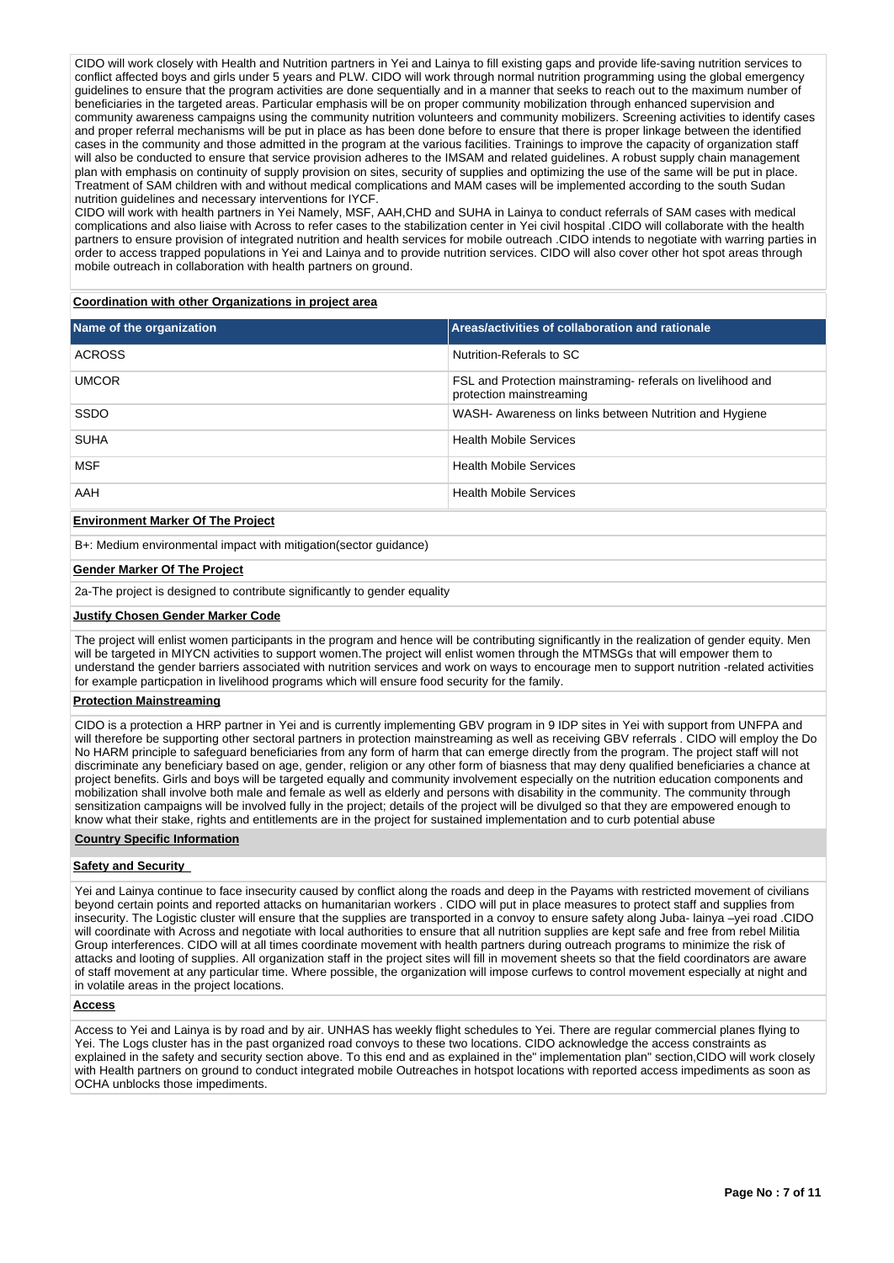CIDO will work closely with Health and Nutrition partners in Yei and Lainya to fill existing gaps and provide life-saving nutrition services to conflict affected boys and girls under 5 years and PLW. CIDO will work through normal nutrition programming using the global emergency guidelines to ensure that the program activities are done sequentially and in a manner that seeks to reach out to the maximum number of beneficiaries in the targeted areas. Particular emphasis will be on proper community mobilization through enhanced supervision and community awareness campaigns using the community nutrition volunteers and community mobilizers. Screening activities to identify cases and proper referral mechanisms will be put in place as has been done before to ensure that there is proper linkage between the identified cases in the community and those admitted in the program at the various facilities. Trainings to improve the capacity of organization staff will also be conducted to ensure that service provision adheres to the IMSAM and related guidelines. A robust supply chain management plan with emphasis on continuity of supply provision on sites, security of supplies and optimizing the use of the same will be put in place. Treatment of SAM children with and without medical complications and MAM cases will be implemented according to the south Sudan nutrition guidelines and necessary interventions for IYCF.

CIDO will work with health partners in Yei Namely, MSF, AAH,CHD and SUHA in Lainya to conduct referrals of SAM cases with medical complications and also liaise with Across to refer cases to the stabilization center in Yei civil hospital .CIDO will collaborate with the health partners to ensure provision of integrated nutrition and health services for mobile outreach .CIDO intends to negotiate with warring parties in order to access trapped populations in Yei and Lainya and to provide nutrition services. CIDO will also cover other hot spot areas through mobile outreach in collaboration with health partners on ground.

**Coordination with other Organizations in project area**

| Name of the organization                 | Areas/activities of collaboration and rationale                                        |
|------------------------------------------|----------------------------------------------------------------------------------------|
| <b>ACROSS</b>                            | Nutrition-Referals to SC                                                               |
| <b>UMCOR</b>                             | FSL and Protection mainstraming-referals on livelihood and<br>protection mainstreaming |
| SSDO                                     | WASH- Awareness on links between Nutrition and Hygiene                                 |
| <b>SUHA</b>                              | <b>Health Mobile Services</b>                                                          |
| <b>MSF</b>                               | <b>Health Mobile Services</b>                                                          |
| AAH                                      | <b>Health Mobile Services</b>                                                          |
| <b>Environment Marker Of The Project</b> |                                                                                        |

B+: Medium environmental impact with mitigation(sector guidance)

### **Gender Marker Of The Project**

2a-The project is designed to contribute significantly to gender equality

### **Justify Chosen Gender Marker Code**

The project will enlist women participants in the program and hence will be contributing significantly in the realization of gender equity. Men will be targeted in MIYCN activities to support women.The project will enlist women through the MTMSGs that will empower them to understand the gender barriers associated with nutrition services and work on ways to encourage men to support nutrition -related activities for example particpation in livelihood programs which will ensure food security for the family.

#### **Protection Mainstreaming**

CIDO is a protection a HRP partner in Yei and is currently implementing GBV program in 9 IDP sites in Yei with support from UNFPA and will therefore be supporting other sectoral partners in protection mainstreaming as well as receiving GBV referrals . CIDO will employ the Do No HARM principle to safeguard beneficiaries from any form of harm that can emerge directly from the program. The project staff will not discriminate any beneficiary based on age, gender, religion or any other form of biasness that may deny qualified beneficiaries a chance at project benefits. Girls and boys will be targeted equally and community involvement especially on the nutrition education components and mobilization shall involve both male and female as well as elderly and persons with disability in the community. The community through sensitization campaigns will be involved fully in the project; details of the project will be divulged so that they are empowered enough to know what their stake, rights and entitlements are in the project for sustained implementation and to curb potential abuse

#### **Country Specific Information**

### **Safety and Security**

Yei and Lainya continue to face insecurity caused by conflict along the roads and deep in the Payams with restricted movement of civilians beyond certain points and reported attacks on humanitarian workers . CIDO will put in place measures to protect staff and supplies from insecurity. The Logistic cluster will ensure that the supplies are transported in a convoy to ensure safety along Juba- lainya –yei road .CIDO will coordinate with Across and negotiate with local authorities to ensure that all nutrition supplies are kept safe and free from rebel Militia Group interferences. CIDO will at all times coordinate movement with health partners during outreach programs to minimize the risk of attacks and looting of supplies. All organization staff in the project sites will fill in movement sheets so that the field coordinators are aware of staff movement at any particular time. Where possible, the organization will impose curfews to control movement especially at night and in volatile areas in the project locations.

#### **Access**

Access to Yei and Lainya is by road and by air. UNHAS has weekly flight schedules to Yei. There are regular commercial planes flying to Yei. The Logs cluster has in the past organized road convoys to these two locations. CIDO acknowledge the access constraints as explained in the safety and security section above. To this end and as explained in the" implementation plan" section,CIDO will work closely with Health partners on ground to conduct integrated mobile Outreaches in hotspot locations with reported access impediments as soon as OCHA unblocks those impediments.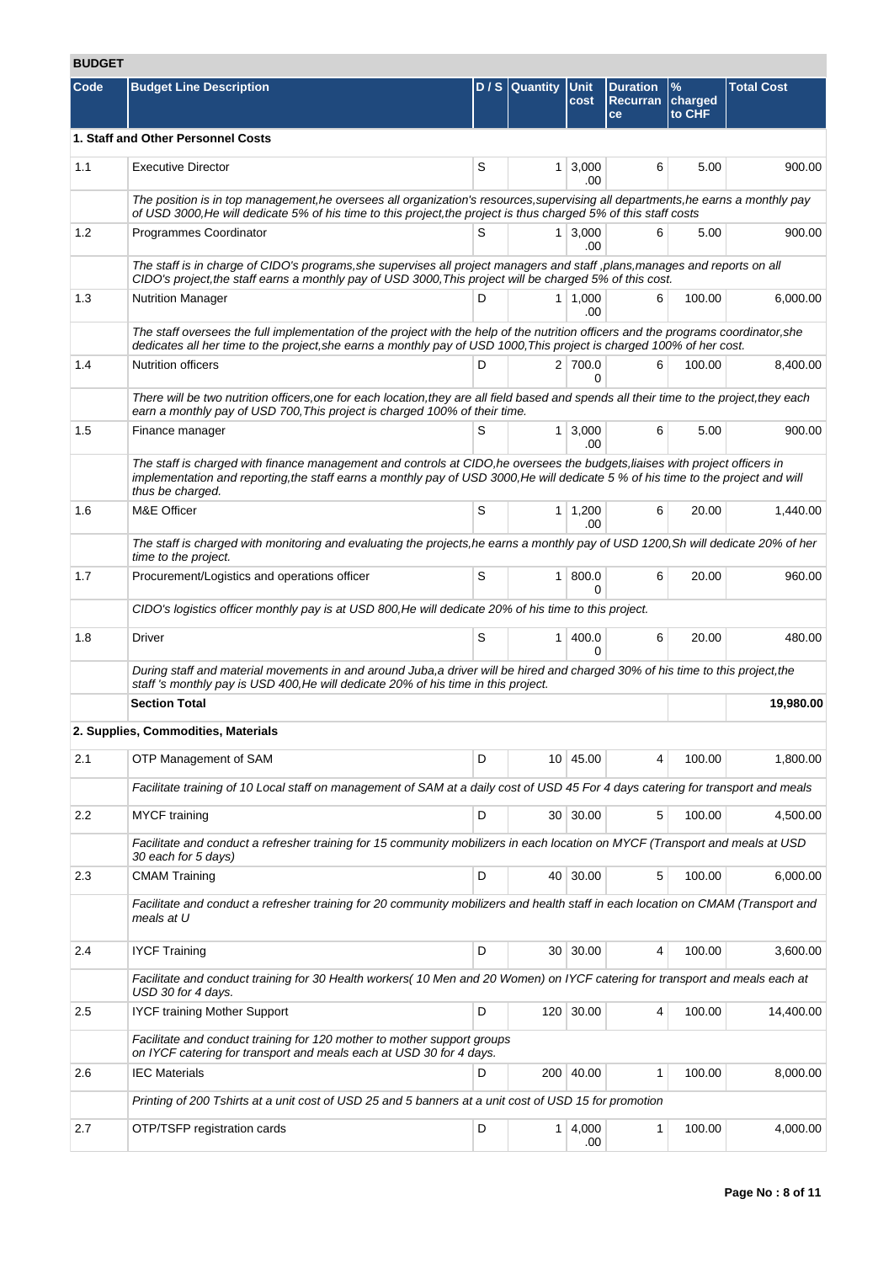# **BUDGET**

| Code | <b>Budget Line Description</b>                                                                                                                                                                                                                                                        |   | D / S Quantity Unit | cost                  | <b>Duration</b><br>Recurran<br>ce | $\%$<br>charged<br>to CHF | <b>Total Cost</b> |
|------|---------------------------------------------------------------------------------------------------------------------------------------------------------------------------------------------------------------------------------------------------------------------------------------|---|---------------------|-----------------------|-----------------------------------|---------------------------|-------------------|
|      | 1. Staff and Other Personnel Costs                                                                                                                                                                                                                                                    |   |                     |                       |                                   |                           |                   |
| 1.1  | <b>Executive Director</b>                                                                                                                                                                                                                                                             | S |                     | $1 \mid 3,000$<br>.00 | 6                                 | 5.00                      | 900.00            |
|      | The position is in top management, he oversees all organization's resources, supervising all departments, he earns a monthly pay<br>of USD 3000, He will dedicate 5% of his time to this project, the project is thus charged 5% of this staff costs                                  |   |                     |                       |                                   |                           |                   |
| 1.2  | Programmes Coordinator                                                                                                                                                                                                                                                                | S |                     | $1 \mid 3,000$<br>.00 | 6                                 | 5.00                      | 900.00            |
|      | The staff is in charge of CIDO's programs, she supervises all project managers and staff, plans, manages and reports on all<br>CIDO's project, the staff earns a monthly pay of USD 3000, This project will be charged 5% of this cost.                                               |   |                     |                       |                                   |                           |                   |
| 1.3  | <b>Nutrition Manager</b>                                                                                                                                                                                                                                                              | D |                     | $1 \mid 1,000$<br>.00 | 6                                 | 100.00                    | 6,000.00          |
|      | The staff oversees the full implementation of the project with the help of the nutrition officers and the programs coordinator, she<br>dedicates all her time to the project, she earns a monthly pay of USD 1000, This project is charged 100% of her cost.                          |   |                     |                       |                                   |                           |                   |
| 1.4  | <b>Nutrition officers</b>                                                                                                                                                                                                                                                             | D |                     | 2 700.0<br>0          | 6                                 | 100.00                    | 8.400.00          |
|      | There will be two nutrition officers, one for each location, they are all field based and spends all their time to the project, they each<br>earn a monthly pay of USD 700, This project is charged 100% of their time.                                                               |   |                     |                       |                                   |                           |                   |
| 1.5  | Finance manager                                                                                                                                                                                                                                                                       | S |                     | $1 \mid 3,000$<br>.00 | 6                                 | 5.00                      | 900.00            |
|      | The staff is charged with finance management and controls at CIDO, he oversees the budgets, liaises with project officers in<br>implementation and reporting, the staff earns a monthly pay of USD 3000, He will dedicate 5 % of his time to the project and will<br>thus be charged. |   |                     |                       |                                   |                           |                   |
| 1.6  | M&E Officer                                                                                                                                                                                                                                                                           | S |                     | $1 \mid 1,200$<br>.00 | 6                                 | 20.00                     | 1,440.00          |
|      | The staff is charged with monitoring and evaluating the projects, he earns a monthly pay of USD 1200, Sh will dedicate 20% of her<br>time to the project.                                                                                                                             |   |                     |                       |                                   |                           |                   |
| 1.7  | Procurement/Logistics and operations officer                                                                                                                                                                                                                                          | S |                     | 1 800.0<br>$\Omega$   | 6                                 | 20.00                     | 960.00            |
|      | CIDO's logistics officer monthly pay is at USD 800, He will dedicate 20% of his time to this project.                                                                                                                                                                                 |   |                     |                       |                                   |                           |                   |
| 1.8  | <b>Driver</b>                                                                                                                                                                                                                                                                         | S |                     | 1   400.0<br>0        | 6                                 | 20.00                     | 480.00            |
|      | During staff and material movements in and around Juba, a driver will be hired and charged 30% of his time to this project, the<br>staff 's monthly pay is USD 400, He will dedicate 20% of his time in this project.                                                                 |   |                     |                       |                                   |                           |                   |
|      | <b>Section Total</b>                                                                                                                                                                                                                                                                  |   |                     |                       |                                   |                           | 19,980.00         |
|      | 2. Supplies, Commodities, Materials                                                                                                                                                                                                                                                   |   |                     |                       |                                   |                           |                   |
| 2.1  | OTP Management of SAM                                                                                                                                                                                                                                                                 | D |                     | 10 45.00              | 4                                 | 100.00                    | 1,800.00          |
|      | Facilitate training of 10 Local staff on management of SAM at a daily cost of USD 45 For 4 days catering for transport and meals                                                                                                                                                      |   |                     |                       |                                   |                           |                   |
| 2.2  | <b>MYCF</b> training                                                                                                                                                                                                                                                                  | D |                     | 30 30.00              | 5                                 | 100.00                    | 4,500.00          |
|      | Facilitate and conduct a refresher training for 15 community mobilizers in each location on MYCF (Transport and meals at USD<br>30 each for 5 days)                                                                                                                                   |   |                     |                       |                                   |                           |                   |
| 2.3  | <b>CMAM Training</b>                                                                                                                                                                                                                                                                  | D |                     | 40 30.00              | 5                                 | 100.00                    | 6,000.00          |
|      | Facilitate and conduct a refresher training for 20 community mobilizers and health staff in each location on CMAM (Transport and<br>meals at U                                                                                                                                        |   |                     |                       |                                   |                           |                   |
| 2.4  | <b>IYCF Training</b>                                                                                                                                                                                                                                                                  | D |                     | 30 30.00              | 4                                 | 100.00                    | 3,600.00          |
|      | Facilitate and conduct training for 30 Health workers(10 Men and 20 Women) on IYCF catering for transport and meals each at<br>USD 30 for 4 days.                                                                                                                                     |   |                     |                       |                                   |                           |                   |
| 2.5  | <b>IYCF training Mother Support</b>                                                                                                                                                                                                                                                   | D |                     | 120 30.00             | 4                                 | 100.00                    | 14,400.00         |
|      | Facilitate and conduct training for 120 mother to mother support groups<br>on IYCF catering for transport and meals each at USD 30 for 4 days.                                                                                                                                        |   |                     |                       |                                   |                           |                   |
| 2.6  | <b>IEC Materials</b>                                                                                                                                                                                                                                                                  | D |                     | 200 40.00             | 1                                 | 100.00                    | 8,000.00          |
|      | Printing of 200 Tshirts at a unit cost of USD 25 and 5 banners at a unit cost of USD 15 for promotion                                                                                                                                                                                 |   |                     |                       |                                   |                           |                   |
| 2.7  | OTP/TSFP registration cards                                                                                                                                                                                                                                                           | D |                     | $1 \mid 4,000$<br>.00 | 1                                 | 100.00                    | 4,000.00          |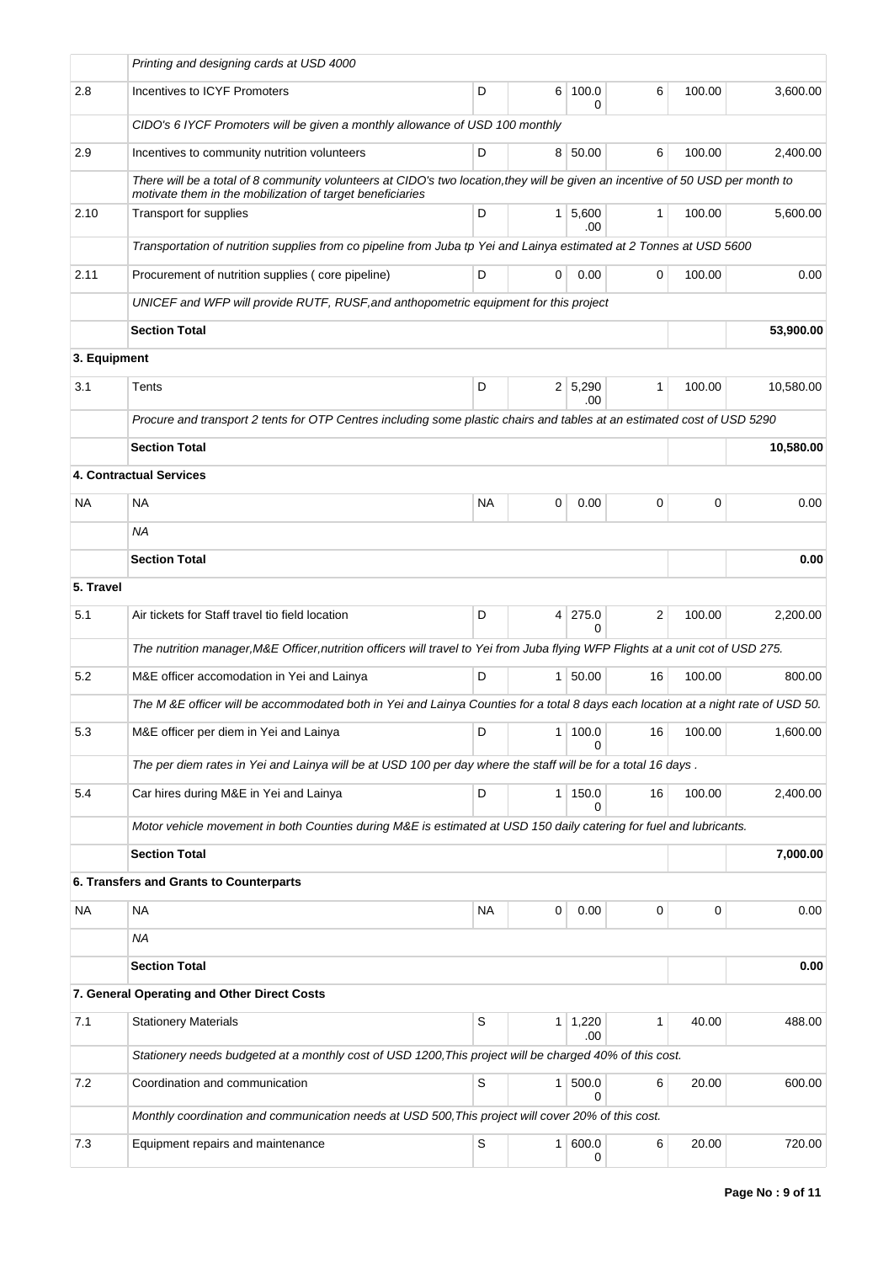|              | Printing and designing cards at USD 4000                                                                                                                                                    |           |                |                       |                |        |           |
|--------------|---------------------------------------------------------------------------------------------------------------------------------------------------------------------------------------------|-----------|----------------|-----------------------|----------------|--------|-----------|
| 2.8          | Incentives to ICYF Promoters                                                                                                                                                                | D         | 6              | 100.0<br>0            | 6              | 100.00 | 3,600.00  |
|              | CIDO's 6 IYCF Promoters will be given a monthly allowance of USD 100 monthly                                                                                                                |           |                |                       |                |        |           |
| 2.9          | Incentives to community nutrition volunteers                                                                                                                                                | D         |                | 8 50.00               | 6              | 100.00 | 2,400.00  |
|              | There will be a total of 8 community volunteers at CIDO's two location, they will be given an incentive of 50 USD per month to<br>motivate them in the mobilization of target beneficiaries |           |                |                       |                |        |           |
| 2.10         | <b>Transport for supplies</b>                                                                                                                                                               | D         |                | 1 5,600<br>.00        | $\mathbf{1}$   | 100.00 | 5,600.00  |
|              | Transportation of nutrition supplies from co pipeline from Juba tp Yei and Lainya estimated at 2 Tonnes at USD 5600                                                                         |           |                |                       |                |        |           |
| 2.11         | Procurement of nutrition supplies (core pipeline)                                                                                                                                           | D         | 0              | 0.00                  | 0              | 100.00 | 0.00      |
|              | UNICEF and WFP will provide RUTF, RUSF, and anthopometric equipment for this project                                                                                                        |           |                |                       |                |        |           |
|              | <b>Section Total</b>                                                                                                                                                                        |           |                |                       |                |        | 53,900.00 |
| 3. Equipment |                                                                                                                                                                                             |           |                |                       |                |        |           |
| 3.1          | Tents                                                                                                                                                                                       | D         |                | $2 \mid 5,290$<br>.00 | $\mathbf{1}$   | 100.00 | 10,580.00 |
|              | Procure and transport 2 tents for OTP Centres including some plastic chairs and tables at an estimated cost of USD 5290                                                                     |           |                |                       |                |        |           |
|              | <b>Section Total</b>                                                                                                                                                                        |           |                |                       |                |        | 10,580.00 |
|              | <b>4. Contractual Services</b>                                                                                                                                                              |           |                |                       |                |        |           |
| NA           | NA                                                                                                                                                                                          | <b>NA</b> | 0              | 0.00                  | 0              | 0      | 0.00      |
|              | NA.                                                                                                                                                                                         |           |                |                       |                |        |           |
|              | <b>Section Total</b>                                                                                                                                                                        |           |                |                       |                |        | 0.00      |
| 5. Travel    |                                                                                                                                                                                             |           |                |                       |                |        |           |
| 5.1          | Air tickets for Staff travel tio field location                                                                                                                                             | D         | 4 <sup>1</sup> | 275.0<br>0            | $\overline{2}$ | 100.00 | 2,200.00  |
|              | The nutrition manager, M&E Officer, nutrition officers will travel to Yei from Juba flying WFP Flights at a unit cot of USD 275.                                                            |           |                |                       |                |        |           |
| 5.2          | M&E officer accomodation in Yei and Lainya                                                                                                                                                  | D         |                | 1 50.00               | 16             | 100.00 | 800.00    |
|              | The M &E officer will be accommodated both in Yei and Lainya Counties for a total 8 days each location at a night rate of USD 50.                                                           |           |                |                       |                |        |           |
| 5.3          | M&E officer per diem in Yei and Lainya                                                                                                                                                      | D         | 1              | 100.0<br>0            | 16             | 100.00 | 1,600.00  |
|              | The per diem rates in Yei and Lainya will be at USD 100 per day where the staff will be for a total 16 days.                                                                                |           |                |                       |                |        |           |
| 5.4          | Car hires during M&E in Yei and Lainya                                                                                                                                                      | D         | $\mathbf{1}$   | 150.0<br>0            | 16             | 100.00 | 2,400.00  |
|              | Motor vehicle movement in both Counties during M&E is estimated at USD 150 daily catering for fuel and lubricants.                                                                          |           |                |                       |                |        |           |
|              | <b>Section Total</b>                                                                                                                                                                        |           |                |                       |                |        | 7,000.00  |
|              | 6. Transfers and Grants to Counterparts                                                                                                                                                     |           |                |                       |                |        |           |
| <b>NA</b>    | <b>NA</b>                                                                                                                                                                                   | <b>NA</b> | 0              | 0.00                  | 0              | 0      | 0.00      |
|              | ΝA                                                                                                                                                                                          |           |                |                       |                |        |           |
|              | <b>Section Total</b>                                                                                                                                                                        |           |                |                       |                |        | 0.00      |
|              | 7. General Operating and Other Direct Costs                                                                                                                                                 |           |                |                       |                |        |           |
| 7.1          | <b>Stationery Materials</b>                                                                                                                                                                 | S         | 1              | 1,220<br>.00          | 1              | 40.00  | 488.00    |
|              | Stationery needs budgeted at a monthly cost of USD 1200, This project will be charged 40% of this cost.                                                                                     |           |                |                       |                |        |           |
| 7.2          | Coordination and communication                                                                                                                                                              | S         | 1 <sup>1</sup> | 500.0<br>0            | 6              | 20.00  | 600.00    |
|              | Monthly coordination and communication needs at USD 500, This project will cover 20% of this cost.                                                                                          |           |                |                       |                |        |           |
| 7.3          | Equipment repairs and maintenance                                                                                                                                                           | S         | 1              | 600.0<br>0            | 6              | 20.00  | 720.00    |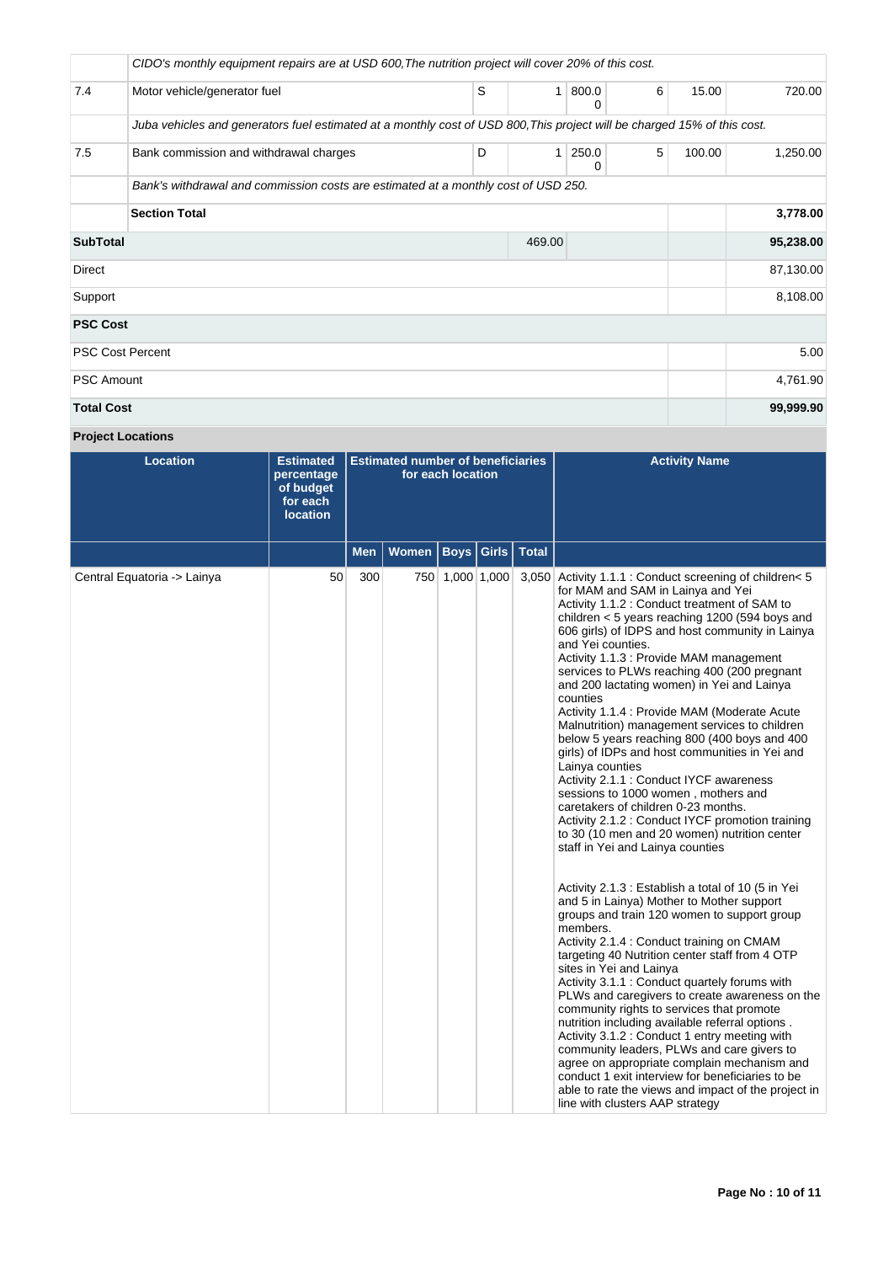|                           | CIDO's monthly equipment repairs are at USD 600, The nutrition project will cover 20% of this cost.                      |   |              |            |   |        |           |  |  |
|---------------------------|--------------------------------------------------------------------------------------------------------------------------|---|--------------|------------|---|--------|-----------|--|--|
| 7.4                       | Motor vehicle/generator fuel                                                                                             | S | 1            | 800.0<br>0 | 6 | 15.00  | 720.00    |  |  |
|                           | Juba vehicles and generators fuel estimated at a monthly cost of USD 800, This project will be charged 15% of this cost. |   |              |            |   |        |           |  |  |
| 7.5                       | Bank commission and withdrawal charges                                                                                   | D | $\mathbf{1}$ | 250.0<br>0 | 5 | 100.00 | 1,250.00  |  |  |
|                           | Bank's withdrawal and commission costs are estimated at a monthly cost of USD 250.                                       |   |              |            |   |        |           |  |  |
|                           | <b>Section Total</b>                                                                                                     |   |              |            |   |        | 3,778.00  |  |  |
| <b>SubTotal</b><br>469.00 |                                                                                                                          |   |              |            |   |        | 95,238.00 |  |  |
| Direct                    |                                                                                                                          |   |              |            |   |        | 87,130.00 |  |  |
| Support                   |                                                                                                                          |   |              |            |   |        | 8,108.00  |  |  |
| <b>PSC Cost</b>           |                                                                                                                          |   |              |            |   |        |           |  |  |
| <b>PSC Cost Percent</b>   |                                                                                                                          |   |              |            |   |        | 5.00      |  |  |
| <b>PSC Amount</b>         |                                                                                                                          |   |              |            |   |        | 4,761.90  |  |  |
| <b>Total Cost</b>         |                                                                                                                          |   |              |            |   |        | 99,999.90 |  |  |

**Project Locations**

| <b>Location</b>             | <b>Estimated</b><br>percentage<br>of budget<br>for each<br><b>location</b> | <b>Estimated number of beneficiaries</b><br>for each location |       |                 |       |              | <b>Activity Name</b>                                                                                                                                                                                                                                                                                                                                                                                                                                                                                                                                                                                                                                                                                                                                                                                                                                                                                                                                                                                                                                                                                                                                                                                                                                                                                                                                                                                                                                                                                                                                                                                                                                                                                 |
|-----------------------------|----------------------------------------------------------------------------|---------------------------------------------------------------|-------|-----------------|-------|--------------|------------------------------------------------------------------------------------------------------------------------------------------------------------------------------------------------------------------------------------------------------------------------------------------------------------------------------------------------------------------------------------------------------------------------------------------------------------------------------------------------------------------------------------------------------------------------------------------------------------------------------------------------------------------------------------------------------------------------------------------------------------------------------------------------------------------------------------------------------------------------------------------------------------------------------------------------------------------------------------------------------------------------------------------------------------------------------------------------------------------------------------------------------------------------------------------------------------------------------------------------------------------------------------------------------------------------------------------------------------------------------------------------------------------------------------------------------------------------------------------------------------------------------------------------------------------------------------------------------------------------------------------------------------------------------------------------------|
|                             |                                                                            | Men                                                           | Women | Boys            | Girls | <b>Total</b> |                                                                                                                                                                                                                                                                                                                                                                                                                                                                                                                                                                                                                                                                                                                                                                                                                                                                                                                                                                                                                                                                                                                                                                                                                                                                                                                                                                                                                                                                                                                                                                                                                                                                                                      |
| Central Equatoria -> Lainya | 50                                                                         | 300                                                           |       | 750 1,000 1,000 |       | 3,050        | Activity 1.1.1 : Conduct screening of children< 5<br>for MAM and SAM in Lainya and Yei<br>Activity 1.1.2 : Conduct treatment of SAM to<br>children $<$ 5 years reaching 1200 (594 boys and<br>606 girls) of IDPS and host community in Lainya<br>and Yei counties.<br>Activity 1.1.3 : Provide MAM management<br>services to PLWs reaching 400 (200 pregnant<br>and 200 lactating women) in Yei and Lainya<br>counties<br>Activity 1.1.4 : Provide MAM (Moderate Acute<br>Malnutrition) management services to children<br>below 5 years reaching 800 (400 boys and 400<br>girls) of IDPs and host communities in Yei and<br>Lainya counties<br>Activity 2.1.1 : Conduct IYCF awareness<br>sessions to 1000 women, mothers and<br>caretakers of children 0-23 months.<br>Activity 2.1.2 : Conduct IYCF promotion training<br>to 30 (10 men and 20 women) nutrition center<br>staff in Yei and Lainya counties<br>Activity 2.1.3 : Establish a total of 10 (5 in Yei<br>and 5 in Lainya) Mother to Mother support<br>groups and train 120 women to support group<br>members.<br>Activity 2.1.4 : Conduct training on CMAM<br>targeting 40 Nutrition center staff from 4 OTP<br>sites in Yei and Lainya<br>Activity 3.1.1 : Conduct quartely forums with<br>PLWs and caregivers to create awareness on the<br>community rights to services that promote<br>nutrition including available referral options.<br>Activity 3.1.2 : Conduct 1 entry meeting with<br>community leaders, PLWs and care givers to<br>agree on appropriate complain mechanism and<br>conduct 1 exit interview for beneficiaries to be<br>able to rate the views and impact of the project in<br>line with clusters AAP strategy |